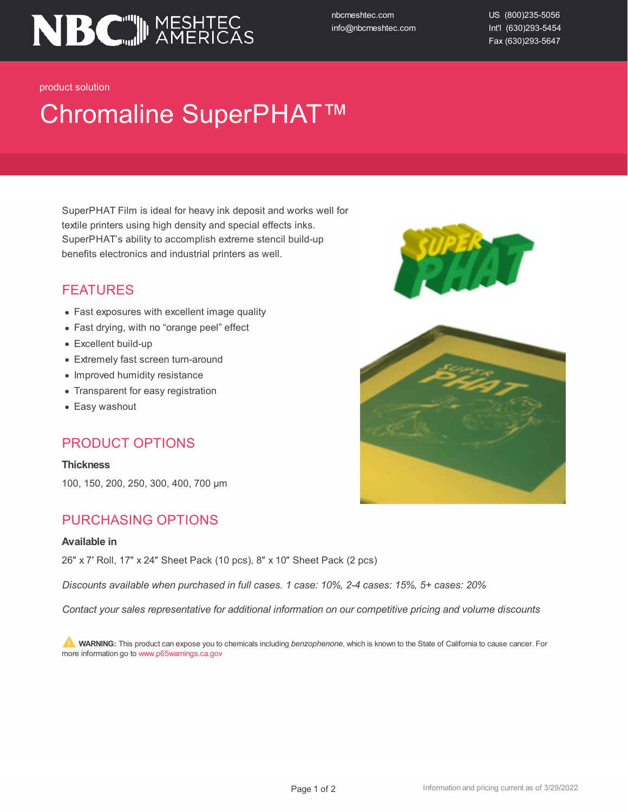

nbcmeshtec.com info@nbcmeshtec.com US (800)235-5056 Int'l (630)293-5454 Fax (630)293-5647

product solution

# Chromaline SuperPHAT™

SuperPHAT Film is ideal for heavy ink deposit and works well for textile printers using high density and special effects inks. SuperPHAT's ability to accomplish extreme stencil build-up benefits electronics and industrial printers as well.

### FEATURES

- Fast exposures with excellent image quality
- Fast drying, with no "orange peel" effect
- Excellent build-up
- Extremely fast screen turn-around
- Improved humidity resistance
- Transparent for easy registration
- Easy washout

#### PRODUCT OPTIONS

**Thickness**

100, 150, 200, 250, 300, 400, 700 µm

#### PURCHASING OPTIONS

#### **Available in**

26″ x 7′ Roll, 17″ x 24″ Sheet Pack (10 pcs), 8″ x 10″ Sheet Pack (2 pcs)

*Discounts available when purchased in full cases. 1 case: 10%, 2-4 cases: 15%, 5+ cases: 20%*

*Contact your sales representative for additional information on our competitive pricing and volume discounts*

**WARNING:** This product can expose you to chemicals including *benzophenone*, which is known to the State of California to cause cancer. For more information go to www.p65warnings.ca.gov